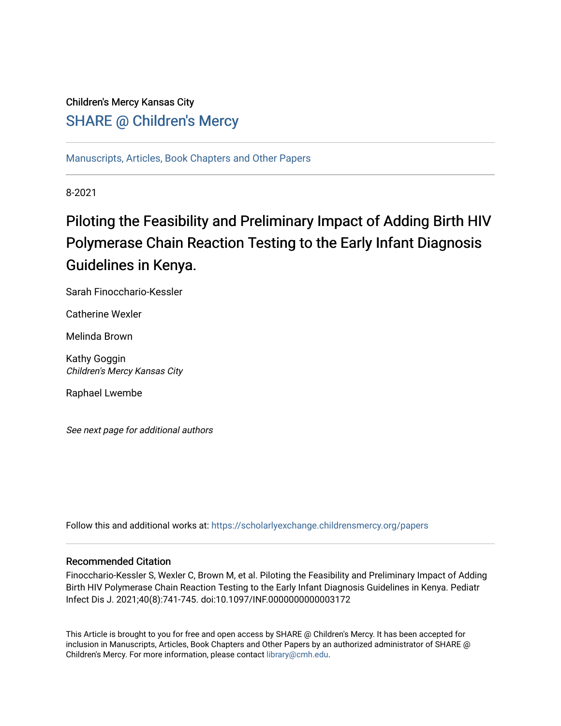# Children's Mercy Kansas City SHARE @ Children's Mercy

[Manuscripts, Articles, Book Chapters and Other Papers](https://scholarlyexchange.childrensmercy.org/papers)

8-2021

# Piloting the Feasibility and Preliminary Impact of Adding Birth HIV Polymerase Chain Reaction Testing to the Early Infant Diagnosis Guidelines in Kenya.

Sarah Finocchario-Kessler

Catherine Wexler

Melinda Brown

Kathy Goggin Children's Mercy Kansas City

Raphael Lwembe

See next page for additional authors

Follow this and additional works at: [https://scholarlyexchange.childrensmercy.org/papers](https://scholarlyexchange.childrensmercy.org/papers?utm_source=scholarlyexchange.childrensmercy.org%2Fpapers%2F3559&utm_medium=PDF&utm_campaign=PDFCoverPages) 

# Recommended Citation

Finocchario-Kessler S, Wexler C, Brown M, et al. Piloting the Feasibility and Preliminary Impact of Adding Birth HIV Polymerase Chain Reaction Testing to the Early Infant Diagnosis Guidelines in Kenya. Pediatr Infect Dis J. 2021;40(8):741-745. doi:10.1097/INF.0000000000003172

This Article is brought to you for free and open access by SHARE @ Children's Mercy. It has been accepted for inclusion in Manuscripts, Articles, Book Chapters and Other Papers by an authorized administrator of SHARE @ Children's Mercy. For more information, please contact [library@cmh.edu](mailto:library@cmh.edu).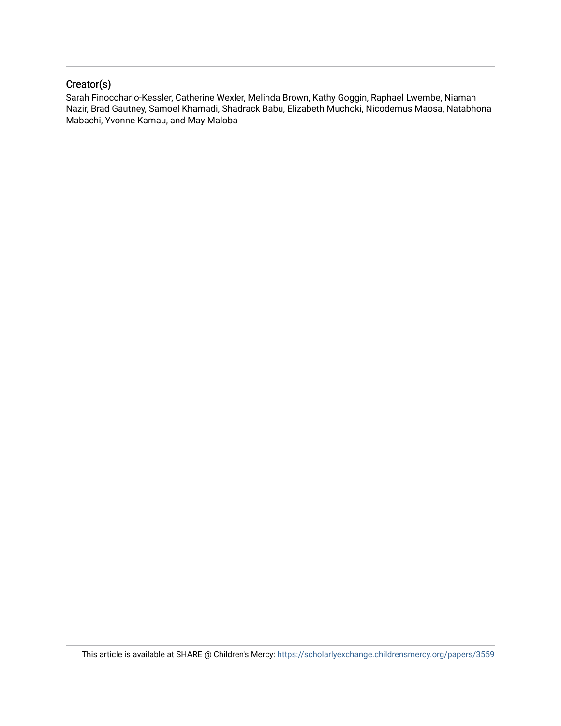# Creator(s)

Sarah Finocchario-Kessler, Catherine Wexler, Melinda Brown, Kathy Goggin, Raphael Lwembe, Niaman Nazir, Brad Gautney, Samoel Khamadi, Shadrack Babu, Elizabeth Muchoki, Nicodemus Maosa, Natabhona Mabachi, Yvonne Kamau, and May Maloba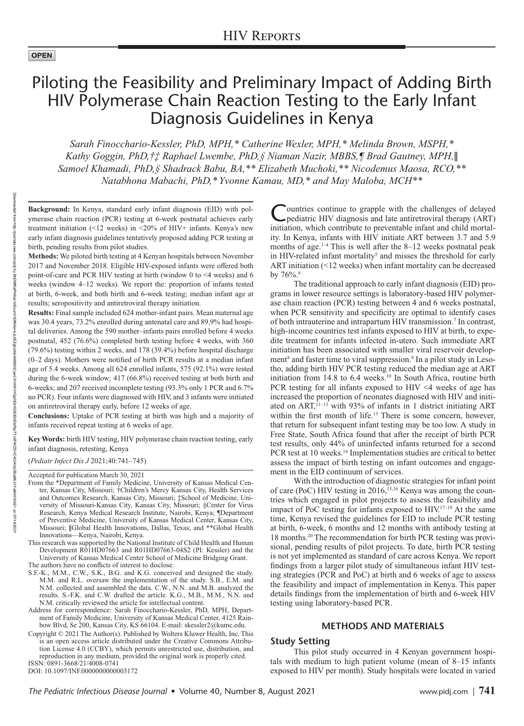#### **OPEN**

# Piloting the Feasibility and Preliminary Impact of Adding Birth HIV Polymerase Chain Reaction Testing to the Early Infant Diagnosis Guidelines in Kenya

*Sarah Finocchario-Kessler, PhD, MPH,\* Catherine Wexler, MPH,\* Melinda Brown, MSPH,\* Kathy Goggin, PhD,†‡ Raphael Lwembe, PhD,§ Niaman Nazir, MBBS,¶ Brad Gautney, MPH,*∥ *Samoel Khamadi, PhD,§ Shadrack Babu, BA,\*\* Elizabeth Muchoki,\*\* Nicodemus Maosa, RCO,\*\* Natabhona Mabachi, PhD,\* Yvonne Kamau, MD,\* and May Maloba, MCH\*\** 

**Background:** In Kenya, standard early infant diagnosis (EID) with polymerase chain reaction (PCR) testing at 6-week postnatal achieves early treatment initiation (<12 weeks) in <20% of HIV+ infants. Kenya's new early infant diagnosis guidelines tentatively proposed adding PCR testing at birth, pending results from pilot studies.

**Methods:** We piloted birth testing at 4 Kenyan hospitals between November 2017 and November 2018. Eligible HIV-exposed infants were offered both point-of-care and PCR HIV testing at birth (window 0 to <4 weeks) and 6 weeks (window 4–12 weeks). We report the: proportion of infants tested at birth, 6-week, and both birth and 6-week testing; median infant age at results; seropositivity and antiretroviral therapy initiation.

**Results:** Final sample included 624 mother-infant pairs. Mean maternal age was 30.4 years, 73.2% enrolled during antenatal care and 89.9% had hospital deliveries. Among the 590 mother–infants pairs enrolled before 4 weeks postnatal, 452 (76.6%) completed birth testing before 4 weeks, with 360 (79.6%) testing within 2 weeks, and 178 (39.4%) before hospital discharge (0–2 days). Mothers were notified of birth PCR results at a median infant age of 5.4 weeks. Among all 624 enrolled infants, 575 (92.1%) were tested during the 6-week window; 417 (66.8%) received testing at both birth and 6-weeks; and 207 received incomplete testing (93.3% only 1 PCR and 6.7% no PCR). Four infants were diagnosed with HIV, and 3 infants were initiated on antiretroviral therapy early, before 12 weeks of age.

**Conclusions:** Uptake of PCR testing at birth was high and a majority of infants received repeat testing at 6 weeks of age.

**Key Words:** birth HIV testing, HIV polymerase chain reaction testing, early infant diagnosis, retesting, Kenya

(*Pediatr Infect Dis J* 2021;40:741–745)

Accepted for publication March 30, 2021

- From the \*Department of Family Medicine, University of Kansas Medical Center, Kansas City, Missouri; †Children's Mercy Kansas City, Health Services and Outcomes Research, Kansas City, Missouri; ‡School of Medicine, University of Missouri-Kansas City, Kansas City, Missouri; §Center for Virus Research, Kenya Medical Research Institute, Nairobi, Kenya; ¶Department of Preventive Medicine, University of Kansas Medical Center, Kansas City, Missouri; ∥Global Health Innovations, Dallas, Texas; and \*\*Global Health Innovations—Kenya, Nairobi, Kenya.
- This research was supported by the National Institute of Child Health and Human Development R01HD07663 and R01HD07663-04S2 (PI: Kessler) and the University of Kansas Medical Center School of Medicine Bridging Grant. The authors have no conflicts of interest to disclose.
- S.F.-K., M.M., C.W., S.K., B.G. and K.G. conceived and designed the study. M.M. and R.L. oversaw the implementation of the study. S.B., E.M. and N.M. collected and assembled the data. C.W., N.N. and M.B. analyzed the results. S.-F.K. and C.W. drafted the article. K.G., M.B., M.M., N.N. and N.M. critically reviewed the article for intellectual content.
- Address for correspondence: Sarah Finocchario-Kessler, PhD, MPH, Department of Family Medicine, University of Kansas Medical Center, 4125 Rainbow Blvd, Se 200, Kansas City, KS 66104. E-mail: [skessler2@kumc.edu.](mailto:skessler2@kumc.edu)
- ISSN: 0891-3668/21/4008-0741 Copyright © 2021 The Author(s). Published by Wolters Kluwer Health, Inc. This is an open access article distributed under the [Creative Commons Attribu](http://creativecommons.org/licenses/by/4.0/)[tion License 4.0 \(CCBY\),](http://creativecommons.org/licenses/by/4.0/) which permits unrestricted use, distribution, and reproduction in any medium, provided the original work is properly cited.

DOI: 10.1097/INF.0000000000003172

Countries continue to grapple with the challenges of delayed epediatric HIV diagnosis and late antiretroviral therapy (ART) initiation, which contribute to preventable infant and child mortality. In Kenya, infants with HIV initiate ART between 3.7 and 5.9 months of age. $1-4$  This is well after the 8–12 weeks postnatal peak in HIV-related infant mortality<sup>5</sup> and misses the threshold for early ART initiation (<12 weeks) when infant mortality can be decreased by  $76\%$ <sup>6</sup>.

The traditional approach to early infant diagnosis (EID) programs in lower resource settings is laboratory-based HIV polymerase chain reaction (PCR) testing between 4 and 6 weeks postnatal, when PCR sensitivity and specificity are optimal to identify cases of both intrauterine and intrapartum HIV transmission.<sup>7</sup> In contrast, high-income countries test infants exposed to HIV at birth, to expedite treatment for infants infected in-utero. Such immediate ART initiation has been associated with smaller viral reservoir development<sup>8</sup> and faster time to viral suppression.<sup>9</sup> In a pilot study in Lesotho, adding birth HIV PCR testing reduced the median age at ART initiation from 14.8 to 6.4 weeks.<sup>10</sup> In South Africa, routine birth PCR testing for all infants exposed to HIV <4 weeks of age has increased the proportion of neonates diagnosed with HIV and initiated on  $ART$ ,  $11-13$  with 93% of infants in 1 district initiating ART within the first month of life.<sup>13</sup> There is some concern, however, that return for subsequent infant testing may be too low. A study in Free State, South Africa found that after the receipt of birth PCR test results, only 44% of uninfected infants returned for a second PCR test at 10 weeks.<sup>14</sup> Implementation studies are critical to better assess the impact of birth testing on infant outcomes and engagement in the EID continuum of services.

With the introduction of diagnostic strategies for infant point of care (PoC) HIV testing in 2016,<sup>15,16</sup> Kenya was among the countries which engaged in pilot projects to assess the feasibility and impact of PoC testing for infants exposed to HIV.17–19 At the same time, Kenya revised the guidelines for EID to include PCR testing at birth, 6-week, 6 months and 12 months with antibody testing at 18 months.20 The recommendation for birth PCR testing was provisional, pending results of pilot projects. To date, birth PCR testing is not yet implemented as standard of care across Kenya. We report findings from a larger pilot study of simultaneous infant HIV testing strategies (PCR and PoC) at birth and 6 weeks of age to assess the feasibility and impact of implementation in Kenya. This paper details findings from the implementation of birth and 6-week HIV testing using laboratory-based PCR.

#### **METHODS AND MATERIALS**

# **Study Setting**

This pilot study occurred in 4 Kenyan government hospitals with medium to high patient volume (mean of 8–15 infants exposed to HIV per month). Study hospitals were located in varied

Downloaded

from utp://purnan http://journals.lww.com/pidj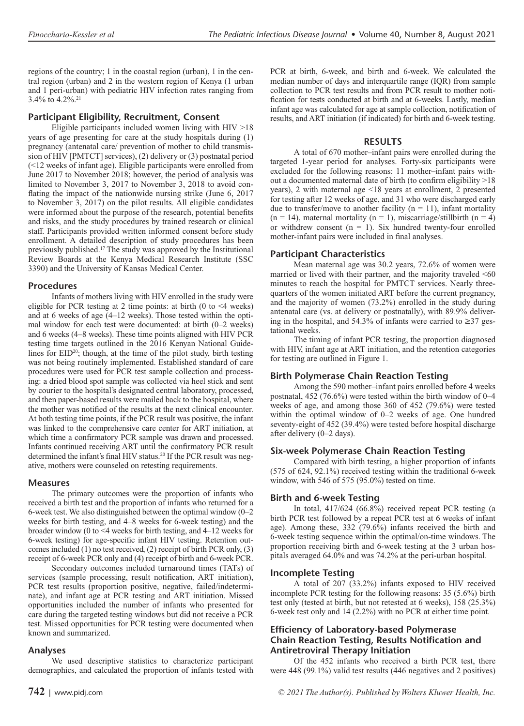regions of the country; 1 in the coastal region (urban), 1 in the central region (urban) and 2 in the western region of Kenya (1 urban and 1 peri-urban) with pediatric HIV infection rates ranging from 3.4% to 4.2%.21

# **Participant Eligibility, Recruitment, Consent**

Eligible participants included women living with HIV >18 years of age presenting for care at the study hospitals during (1) pregnancy (antenatal care/ prevention of mother to child transmission of HIV [PMTCT] services), (2) delivery or (3) postnatal period (<12 weeks of infant age). Eligible participants were enrolled from June 2017 to November 2018; however, the period of analysis was limited to November 3, 2017 to November 3, 2018 to avoid conflating the impact of the nationwide nursing strike (June 6, 2017 to November 3, 2017) on the pilot results. All eligible candidates were informed about the purpose of the research, potential benefits and risks, and the study procedures by trained research or clinical staff. Participants provided written informed consent before study enrollment. A detailed description of study procedures has been previously published.17 The study was approved by the Institutional Review Boards at the Kenya Medical Research Institute (SSC 3390) and the University of Kansas Medical Center.

# **Procedures**

Infants of mothers living with HIV enrolled in the study were eligible for PCR testing at 2 time points: at birth (0 to <4 weeks) and at 6 weeks of age (4–12 weeks). Those tested within the optimal window for each test were documented: at birth (0–2 weeks) and 6 weeks (4–8 weeks). These time points aligned with HIV PCR testing time targets outlined in the 2016 Kenyan National Guidelines for  $EID^{20}$ ; though, at the time of the pilot study, birth testing was not being routinely implemented. Established standard of care procedures were used for PCR test sample collection and processing: a dried blood spot sample was collected via heel stick and sent by courier to the hospital's designated central laboratory, processed, and then paper-based results were mailed back to the hospital, where the mother was notified of the results at the next clinical encounter. At both testing time points, if the PCR result was positive, the infant was linked to the comprehensive care center for ART initiation, at which time a confirmatory PCR sample was drawn and processed. Infants continued receiving ART until the confirmatory PCR result determined the infant's final HIV status.<sup>20</sup> If the PCR result was negative, mothers were counseled on retesting requirements.

# **Measures**

The primary outcomes were the proportion of infants who received a birth test and the proportion of infants who returned for a 6-week test. We also distinguished between the optimal window (0–2 weeks for birth testing, and 4–8 weeks for 6-week testing) and the broader window (0 to <4 weeks for birth testing, and 4–12 weeks for 6-week testing) for age-specific infant HIV testing. Retention outcomes included (1) no test received, (2) receipt of birth PCR only, (3) receipt of 6-week PCR only and (4) receipt of birth and 6-week PCR.

Secondary outcomes included turnaround times (TATs) of services (sample processing, result notification, ART initiation), PCR test results (proportion positive, negative, failed/indeterminate), and infant age at PCR testing and ART initiation. Missed opportunities included the number of infants who presented for care during the targeted testing windows but did not receive a PCR test. Missed opportunities for PCR testing were documented when known and summarized.

# **Analyses**

We used descriptive statistics to characterize participant demographics, and calculated the proportion of infants tested with PCR at birth, 6-week, and birth and 6-week. We calculated the median number of days and interquartile range (IQR) from sample collection to PCR test results and from PCR result to mother notification for tests conducted at birth and at 6-weeks. Lastly, median infant age was calculated for age at sample collection, notification of results, and ART initiation (if indicated) for birth and 6-week testing.

# **RESULTS**

A total of 670 mother–infant pairs were enrolled during the targeted 1-year period for analyses. Forty-six participants were excluded for the following reasons: 11 mother–infant pairs without a documented maternal date of birth (to confirm eligibility >18 years), 2 with maternal age <18 years at enrollment, 2 presented for testing after 12 weeks of age, and 31 who were discharged early due to transfer/move to another facility ( $n = 11$ ), infant mortality  $(n = 14)$ , maternal mortality  $(n = 1)$ , miscarriage/stillbirth  $(n = 4)$ or withdrew consent  $(n = 1)$ . Six hundred twenty-four enrolled mother-infant pairs were included in final analyses.

# **Participant Characteristics**

Mean maternal age was 30.2 years, 72.6% of women were married or lived with their partner, and the majority traveled <60 minutes to reach the hospital for PMTCT services. Nearly threequarters of the women initiated ART before the current pregnancy, and the majority of women (73.2%) enrolled in the study during antenatal care (vs. at delivery or postnatally), with 89.9% delivering in the hospital, and 54.3% of infants were carried to ≥37 gestational weeks.

The timing of infant PCR testing, the proportion diagnosed with HIV, infant age at ART initiation, and the retention categories for testing are outlined in Figure 1.

# **Birth Polymerase Chain Reaction Testing**

Among the 590 mother–infant pairs enrolled before 4 weeks postnatal, 452 (76.6%) were tested within the birth window of 0–4 weeks of age, and among those 360 of 452 (79.6%) were tested within the optimal window of 0–2 weeks of age. One hundred seventy-eight of 452 (39.4%) were tested before hospital discharge after delivery (0–2 days).

# **Six-week Polymerase Chain Reaction Testing**

Compared with birth testing, a higher proportion of infants (575 of 624, 92.1%) received testing within the traditional 6-week window, with 546 of 575 (95.0%) tested on time.

# **Birth and 6-week Testing**

In total, 417/624 (66.8%) received repeat PCR testing (a birth PCR test followed by a repeat PCR test at 6 weeks of infant age). Among these, 332 (79.6%) infants received the birth and 6-week testing sequence within the optimal/on-time windows. The proportion receiving birth and 6-week testing at the 3 urban hospitals averaged 64.0% and was 74.2% at the peri-urban hospital.

# **Incomplete Testing**

A total of 207 (33.2%) infants exposed to HIV received incomplete PCR testing for the following reasons: 35 (5.6%) birth test only (tested at birth, but not retested at 6 weeks), 158 (25.3%) 6-week test only and 14 (2.2%) with no PCR at either time point.

# **Efficiency of Laboratory-based Polymerase Chain Reaction Testing, Results Notification and Antiretroviral Therapy Initiation**

Of the 452 infants who received a birth PCR test, there were 448 (99.1%) valid test results (446 negatives and 2 positives)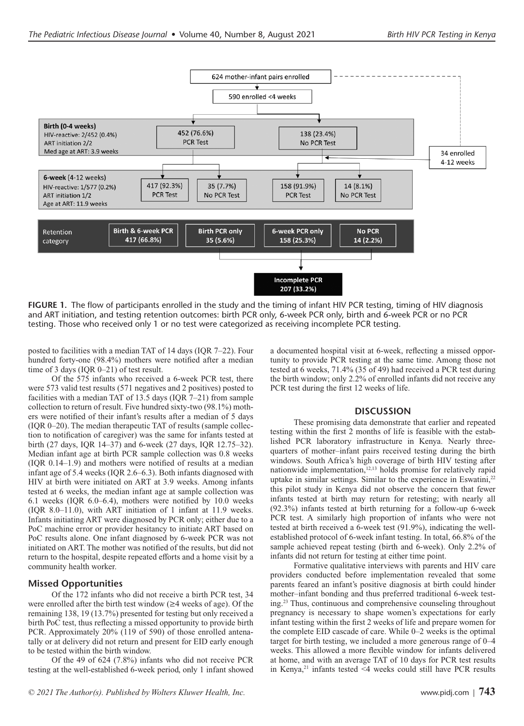

**FIGURE 1.** The flow of participants enrolled in the study and the timing of infant HIV PCR testing, timing of HIV diagnosis and ART initiation, and testing retention outcomes: birth PCR only, 6-week PCR only, birth and 6-week PCR or no PCR testing. Those who received only 1 or no test were categorized as receiving incomplete PCR testing.

posted to facilities with a median TAT of 14 days (IQR 7–22). Four hundred forty-one (98.4%) mothers were notified after a median time of 3 days (IQR 0–21) of test result.

Of the 575 infants who received a 6-week PCR test, there were 573 valid test results (571 negatives and 2 positives) posted to facilities with a median TAT of 13.5 days (IQR 7–21) from sample collection to return of result. Five hundred sixty-two (98.1%) mothers were notified of their infant's results after a median of 5 days (IQR 0–20). The median therapeutic TAT of results (sample collection to notification of caregiver) was the same for infants tested at birth (27 days, IQR 14–37) and 6-week (27 days, IQR 12.75–32). Median infant age at birth PCR sample collection was 0.8 weeks (IQR 0.14–1.9) and mothers were notified of results at a median infant age of 5.4 weeks (IQR 2.6–6.3). Both infants diagnosed with HIV at birth were initiated on ART at 3.9 weeks. Among infants tested at 6 weeks, the median infant age at sample collection was 6.1 weeks (IQR 6.0–6.4), mothers were notified by 10.0 weeks (IQR 8.0–11.0), with ART initiation of 1 infant at 11.9 weeks. Infants initiating ART were diagnosed by PCR only; either due to a PoC machine error or provider hesitancy to initiate ART based on PoC results alone. One infant diagnosed by 6-week PCR was not initiated on ART. The mother was notified of the results, but did not return to the hospital, despite repeated efforts and a home visit by a community health worker.

# **Missed Opportunities**

Of the 172 infants who did not receive a birth PCR test, 34 were enrolled after the birth test window (≥4 weeks of age). Of the remaining 138, 19 (13.7%) presented for testing but only received a birth PoC test, thus reflecting a missed opportunity to provide birth PCR. Approximately 20% (119 of 590) of those enrolled antenatally or at delivery did not return and present for EID early enough to be tested within the birth window.

Of the 49 of 624 (7.8%) infants who did not receive PCR testing at the well-established 6-week period, only 1 infant showed a documented hospital visit at 6-week, reflecting a missed opportunity to provide PCR testing at the same time. Among those not tested at 6 weeks, 71.4% (35 of 49) had received a PCR test during the birth window; only 2.2% of enrolled infants did not receive any PCR test during the first 12 weeks of life.

#### **DISCUSSION**

These promising data demonstrate that earlier and repeated testing within the first 2 months of life is feasible with the established PCR laboratory infrastructure in Kenya. Nearly threequarters of mother–infant pairs received testing during the birth windows. South Africa's high coverage of birth HIV testing after nationwide implementation,<sup>12,13</sup> holds promise for relatively rapid uptake in similar settings. Similar to the experience in Eswatini,<sup>22</sup> this pilot study in Kenya did not observe the concern that fewer infants tested at birth may return for retesting; with nearly all (92.3%) infants tested at birth returning for a follow-up 6-week PCR test. A similarly high proportion of infants who were not tested at birth received a 6-week test (91.9%), indicating the wellestablished protocol of 6-week infant testing. In total, 66.8% of the sample achieved repeat testing (birth and 6-week). Only 2.2% of infants did not return for testing at either time point.

Formative qualitative interviews with parents and HIV care providers conducted before implementation revealed that some parents feared an infant's positive diagnosis at birth could hinder mother–infant bonding and thus preferred traditional 6-week testing.23 Thus, continuous and comprehensive counseling throughout pregnancy is necessary to shape women's expectations for early infant testing within the first 2 weeks of life and prepare women for the complete EID cascade of care. While 0–2 weeks is the optimal target for birth testing, we included a more generous range of 0–4 weeks. This allowed a more flexible window for infants delivered at home, and with an average TAT of 10 days for PCR test results in Kenya, $21$  infants tested <4 weeks could still have PCR results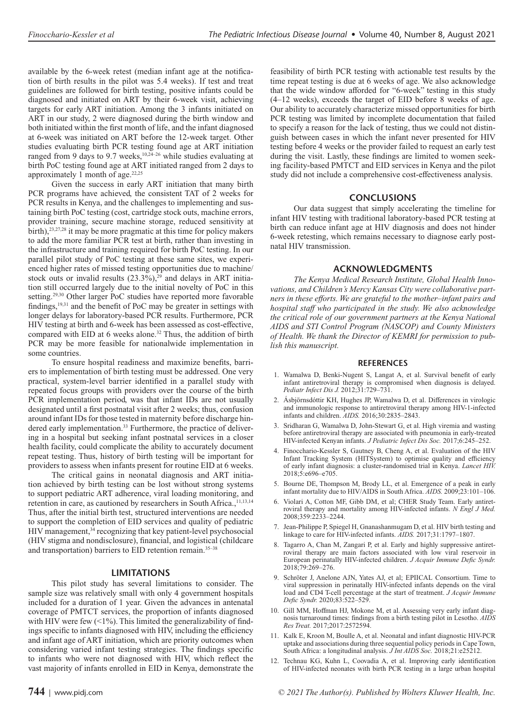available by the 6-week retest (median infant age at the notification of birth results in the pilot was 5.4 weeks). If test and treat guidelines are followed for birth testing, positive infants could be diagnosed and initiated on ART by their 6-week visit, achieving targets for early ART initiation. Among the 3 infants initiated on ART in our study, 2 were diagnosed during the birth window and both initiated within the first month of life, and the infant diagnosed at 6-week was initiated on ART before the 12-week target. Other studies evaluating birth PCR testing found age at ART initiation ranged from 9 days to 9.7 weeks,<sup>10,24-26</sup> while studies evaluating at birth PoC testing found age at ART initiated ranged from 2 days to approximately 1 month of age. $22,25$ 

Given the success in early ART initiation that many birth PCR programs have achieved, the consistent TAT of 2 weeks for PCR results in Kenya, and the challenges to implementing and sustaining birth PoC testing (cost, cartridge stock outs, machine errors, provider training, secure machine storage, reduced sensitivity at birth),<sup>23,27,28</sup> it may be more pragmatic at this time for policy makers to add the more familiar PCR test at birth, rather than investing in the infrastructure and training required for birth PoC testing. In our parallel pilot study of PoC testing at these same sites, we experienced higher rates of missed testing opportunities due to machine/ stock outs or invalid results  $(23.3\%)$ ,<sup>29</sup> and delays in ART initiation still occurred largely due to the initial novelty of PoC in this setting.<sup>29,30</sup> Other larger PoC studies have reported more favorable findings, $19,31$  and the benefit of PoC may be greater in settings with longer delays for laboratory-based PCR results. Furthermore, PCR HIV testing at birth and 6-week has been assessed as cost-effective, compared with EID at 6 weeks alone.<sup>32</sup> Thus, the addition of birth PCR may be more feasible for nationalwide implementation in some countries.

To ensure hospital readiness and maximize benefits, barriers to implementation of birth testing must be addressed. One very practical, system-level barrier identified in a parallel study with repeated focus groups with providers over the course of the birth PCR implementation period, was that infant IDs are not usually designated until a first postnatal visit after 2 weeks; thus, confusion around infant IDs for those tested in maternity before discharge hindered early implementation.<sup>33</sup> Furthermore, the practice of delivering in a hospital but seeking infant postnatal services in a closer health facility, could complicate the ability to accurately document repeat testing. Thus, history of birth testing will be important for providers to assess when infants present for routine EID at 6 weeks.

The critical gains in neonatal diagnosis and ART initiation achieved by birth testing can be lost without strong systems to support pediatric ART adherence, viral loading monitoring, and retention in care, as cautioned by researchers in South Africa.,<sup>11,13,14</sup> Thus, after the initial birth test, structured interventions are needed to support the completion of EID services and quality of pediatric HIV management,<sup>34</sup> recognizing that key patient-level psychosocial (HIV stigma and nondisclosure), financial, and logistical (childcare and transportation) barriers to EID retention remain.<sup>35-38</sup>

#### **LIMITATIONS**

This pilot study has several limitations to consider. The sample size was relatively small with only 4 government hospitals included for a duration of 1 year. Given the advances in antenatal coverage of PMTCT services, the proportion of infants diagnosed with HIV were few  $($ <1%). This limited the generalizability of findings specific to infants diagnosed with HIV, including the efficiency and infant age of ART initiation, which are priority outcomes when considering varied infant testing strategies. The findings specific to infants who were not diagnosed with HIV, which reflect the vast majority of infants enrolled in EID in Kenya, demonstrate the feasibility of birth PCR testing with actionable test results by the time repeat testing is due at 6 weeks of age. We also acknowledge that the wide window afforded for "6-week" testing in this study (4–12 weeks), exceeds the target of EID before 8 weeks of age. Our ability to accurately characterize missed opportunities for birth PCR testing was limited by incomplete documentation that failed to specify a reason for the lack of testing, thus we could not distinguish between cases in which the infant never presented for HIV testing before 4 weeks or the provider failed to request an early test during the visit. Lastly, these findings are limited to women seeking facility-based PMTCT and EID services in Kenya and the pilot study did not include a comprehensive cost-effectiveness analysis.

# **CONCLUSIONS**

Our data suggest that simply accelerating the timeline for infant HIV testing with traditional laboratory-based PCR testing at birth can reduce infant age at HIV diagnosis and does not hinder 6-week retesting, which remains necessary to diagnose early postnatal HIV transmission.

# **ACKNOWLEDGMENTS**

*The Kenya Medical Research Institute, Global Health Innovations, and Children's Mercy Kansas City were collaborative partners in these efforts. We are grateful to the mother–infant pairs and hospital staff who participated in the study. We also acknowledge the critical role of our government partners at the Kenya National AIDS and STI Control Program (NASCOP) and County Ministers of Health. We thank the Director of KEMRI for permission to publish this manuscript.*

#### **REFERENCES**

- 1. Wamalwa D, Benki-Nugent S, Langat A, et al. Survival benefit of early infant antiretroviral therapy is compromised when diagnosis is delayed. *Pediatr Infect Dis J.* 2012;31:729–731.
- 2. Ásbjörnsdóttir KH, Hughes JP, Wamalwa D, et al. Differences in virologic and immunologic response to antiretroviral therapy among HIV-1-infected infants and children. *AIDS.* 2016;30:2835–2843.
- 3. Sridharan G, Wamalwa D, John-Stewart G, et al. High viremia and wasting before antiretroviral therapy are associated with pneumonia in early-treated HIV-infected Kenyan infants. *J Pediatric Infect Dis Soc.* 2017;6:245–252.
- 4. Finocchario-Kessler S, Gautney B, Cheng A, et al. Evaluation of the HIV Infant Tracking System (HITSystem) to optimise quality and efficiency of early infant diagnosis: a cluster-randomised trial in Kenya. *Lancet HIV.* 2018;5:e696–e705.
- 5. Bourne DE, Thompson M, Brody LL, et al. Emergence of a peak in early infant mortality due to HIV/AIDS in South Africa. *AIDS.* 2009;23:101–106.
- 6. Violari A, Cotton MF, Gibb DM, et al; CHER Study Team. Early antiretroviral therapy and mortality among HIV-infected infants. *N Engl J Med.* 2008;359:2233–2244.
- 7. Jean-Philippe P, Spiegel H, Gnanashanmugam D, et al. HIV birth testing and linkage to care for HIV-infected infants. *AIDS.* 2017;31:1797–1807.
- 8. Tagarro A, Chan M, Zangari P, et al. Early and highly suppressive antiretroviral therapy are main factors associated with low viral reservoir in European perinatally HIV-infected children. *J Acquir Immune Defic Syndr.* 2018;79:269–276.
- 9. Schröter J, Anelone AJN, Yates AJ, et al; EPIICAL Consortium. Time to viral suppression in perinatally HIV-infected infants depends on the viral load and CD4 T-cell percentage at the start of treatment. *J Acquir Immune Defic Syndr.* 2020;83:522–529.
- 10. Gill MM, Hoffman HJ, Mokone M, et al. Assessing very early infant diagnosis turnaround times: findings from a birth testing pilot in Lesotho. *AIDS Res Treat.* 2017;2017:2572594.
- 11. Kalk E, Kroon M, Boulle A, et al. Neonatal and infant diagnostic HIV-PCR uptake and associations during three sequential policy periods in Cape Town, South Africa: a longitudinal analysis. *J Int AIDS Soc.* 2018;21:e25212.
- 12. Technau KG, Kuhn L, Coovadia A, et al. Improving early identification of HIV-infected neonates with birth PCR testing in a large urban hospital